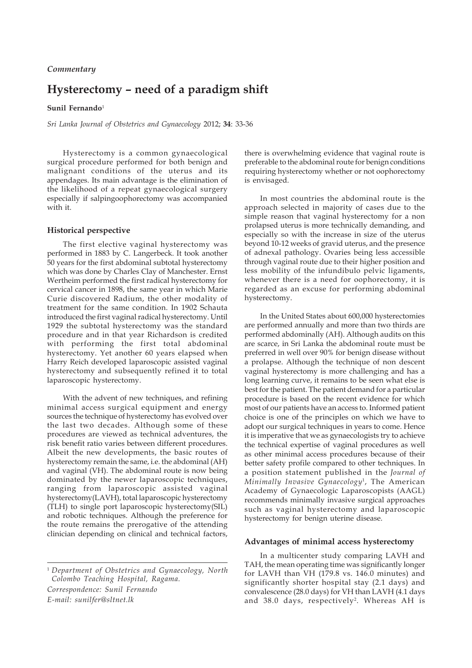## *Commentary*

# **Hysterectomy – need of a paradigm shift**

## Sunil Fernando<sup>1</sup>

*Sri Lanka Journal of Obstetrics and Gynaecology* 2012; **34**: 33-36

Hysterectomy is a common gynaecological surgical procedure performed for both benign and malignant conditions of the uterus and its appendages. Its main advantage is the elimination of the likelihood of a repeat gynaecological surgery especially if salpingoophorectomy was accompanied with it.

#### **Historical perspective**

The first elective vaginal hysterectomy was performed in 1883 by C. Langerbeck. It took another 50 years for the first abdominal subtotal hysterectomy which was done by Charles Clay of Manchester. Ernst Wertheim performed the first radical hysterectomy for cervical cancer in 1898, the same year in which Marie Curie discovered Radium, the other modality of treatment for the same condition. In 1902 Schauta introduced the first vaginal radical hysterectomy. Until 1929 the subtotal hysterectomy was the standard procedure and in that year Richardson is credited with performing the first total abdominal hysterectomy. Yet another 60 years elapsed when Harry Reich developed laparoscopic assisted vaginal hysterectomy and subsequently refined it to total laparoscopic hysterectomy.

With the advent of new techniques, and refining minimal access surgical equipment and energy sources the technique of hysterectomy has evolved over the last two decades. Although some of these procedures are viewed as technical adventures, the risk benefit ratio varies between different procedures. Albeit the new developments, the basic routes of hysterectomy remain the same, i.e. the abdominal (AH) and vaginal (VH). The abdominal route is now being dominated by the newer laparoscopic techniques, ranging from laparoscopic assisted vaginal hysterectomy(LAVH), total laparoscopic hysterectomy (TLH) to single port laparoscopic hysterectomy(SIL) and robotic techniques. Although the preference for the route remains the prerogative of the attending clinician depending on clinical and technical factors,

*Correspondence: Sunil Fernando E-mail: sunilfer@sltnet.lk*

there is overwhelming evidence that vaginal route is preferable to the abdominal route for benign conditions requiring hysterectomy whether or not oophorectomy is envisaged.

In most countries the abdominal route is the approach selected in majority of cases due to the simple reason that vaginal hysterectomy for a non prolapsed uterus is more technically demanding, and especially so with the increase in size of the uterus beyond 10-12 weeks of gravid uterus, and the presence of adnexal pathology. Ovaries being less accessible through vaginal route due to their higher position and less mobility of the infundibulo pelvic ligaments, whenever there is a need for oophorectomy, it is regarded as an excuse for performing abdominal hysterectomy.

In the United States about 600,000 hysterectomies are performed annually and more than two thirds are performed abdominally (AH). Although audits on this are scarce, in Sri Lanka the abdominal route must be preferred in well over 90% for benign disease without a prolapse. Although the technique of non descent vaginal hysterectomy is more challenging and has a long learning curve, it remains to be seen what else is best for the patient. The patient demand for a particular procedure is based on the recent evidence for which most of our patients have an access to. Informed patient choice is one of the principles on which we have to adopt our surgical techniques in years to come. Hence it is imperative that we as gynaecologists try to achieve the technical expertise of vaginal procedures as well as other minimal access procedures because of their better safety profile compared to other techniques. In a position statement published in the *Journal of Minimally Invasive Gynaecology*<sup>1</sup> , The American Academy of Gynaecologic Laparoscopists (AAGL) recommends minimally invasive surgical approaches such as vaginal hysterectomy and laparoscopic hysterectomy for benign uterine disease.

## **Advantages of minimal access hysterectomy**

In a multicenter study comparing LAVH and TAH, the mean operating time was significantly longer for LAVH than VH (179.8 vs. 146.0 minutes) and significantly shorter hospital stay (2.1 days) and convalescence (28.0 days) for VH than LAVH (4.1 days and 38.0 days, respectively<sup>2</sup>. Whereas AH is

<sup>1</sup> *Department of Obstetrics and Gynaecology, North Colombo Teaching Hospital, Ragama.*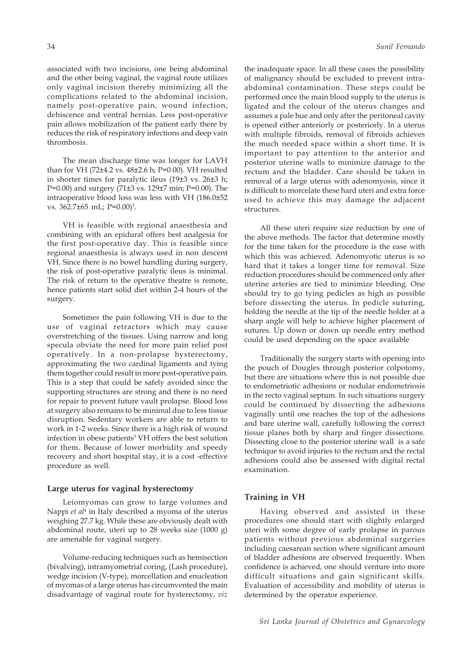associated with two incisions, one being abdominal and the other being vaginal, the vaginal route utilizes only vaginal incision thereby minimizing all the complications related to the abdominal incision, namely post-operative pain, wound infection, dehiscence and ventral hernias. Less post-operative pain allows mobilization of the patient early there by reduces the risk of respiratory infections and deep vain thrombosis.

The mean discharge time was longer for LAVH than for VH (72±4.2 vs. 48±2.6 h; P=0.00). VH resulted in shorter times for paralytic ileus (19±3 vs. 26±3 h; P=0.00) and surgery (71±3 vs. 129±7 min; P=0.00). The intraoperative blood loss was less with VH (186.0±52 vs. 362.7±65 mL; P=0.00)<sup>3</sup>.

VH is feasible with regional anaesthesia and combining with an epidural offers best analgesia for the first post-operative day. This is feasible since regional anaesthesia is always used in non descent VH. Since there is no bowel handling during surgery, the risk of post-operative paralytic ileus is minimal. The risk of return to the operative theatre is remote, hence patients start solid diet within 2-4 hours of the surgery.

Sometimes the pain following VH is due to the use of vaginal retractors which may cause overstretching of the tissues. Using narrow and long specula obviate the need for more pain relief post operatively. In a non-prolapse hysterectomy, approximating the two cardinal ligaments and tying them together could result in more post-operative pain. This is a step that could be safely avoided since the supporting structures are strong and there is no need for repair to prevent future vault prolapse. Blood loss at surgery also remains to be minimal due to less tissue disruption. Sedentary workers are able to return to work in 1-2 weeks. Since there is a high risk of wound infection in obese patients<sup>5</sup> VH offers the best solution for them. Because of lower morbidity and speedy recovery and short hospital stay, it is a cost -effective procedure as well.

#### **Large uterus for vaginal hysterectomy**

Leiomyomas can grow to large volumes and Nappi *et al*<sup>4</sup> in Italy described a myoma of the uterus weighing 27.7 kg. While these are obviously dealt with abdominal route, uteri up to 28 weeks size (1000 g) are amenable for vaginal surgery.

Volume-reducing techniques such as hemisection (bivalving), intramyometrial coring, (Lash procedure), wedge incision (V-type), morcellation and enucleation of myomas of a large uterus has circumvented the main disadvantage of vaginal route for hysterectomy, *viz*

the inadequate space. In all these cases the possibility of malignancy should be excluded to prevent intraabdominal contamination. These steps could be performed once the main blood supply to the uterus is ligated and the colour of the uterus changes and assumes a pale hue and only after the peritoneal cavity is opened either anteriorly or posteriorly. In a uterus with multiple fibroids, removal of fibroids achieves the much needed space within a short time. It is important to pay attention to the anterior and posterior uterine walls to minimize damage to the rectum and the bladder. Care should be taken in removal of a large uterus with adenomyosis, since it is difficult to morcelate these hard uteri and extra force used to achieve this may damage the adjacent structures.

All these uteri require size reduction by one of the above methods. The factor that determine mostly for the time taken for the procedure is the ease with which this was achieved. Adenomyotic uterus is so hard that it takes a longer time for removal. Size reduction procedures should be commenced only after uterine arteries are tied to minimize bleeding. One should try to go tying pedicles as high as possible before dissecting the uterus. In pedicle suturing, holding the needle at the tip of the needle holder at a sharp angle will help to achieve higher placement of sutures. Up down or down up needle entry method could be used depending on the space available

Traditionally the surgery starts with opening into the pouch of Dougles through posterior colpotomy, but there are situations where this is not possible due to endometriotic adhesions or nodular endometriosis in the recto vaginal septum. In such situations surgery could be continued by dissecting the adhesions vaginally until one reaches the top of the adhesions and bare uterine wall, carefully following the correct tissue planes both by sharp and finger dissections. Dissecting close to the posterior uterine wall is a safe technique to avoid injuries to the rectum and the rectal adhesions could also be assessed with digital rectal examination.

#### **Training in VH**

Having observed and assisted in these procedures one should start with slightly enlarged uteri with some degree of early prolapse in parous patients without previous abdominal surgeries including caesarean section where significant amount of bladder adhesions are observed frequently. When confidence is achieved, one should venture into more difficult situations and gain significant skills. Evaluation of accessibility and mobility of uterus is determined by the operator experience.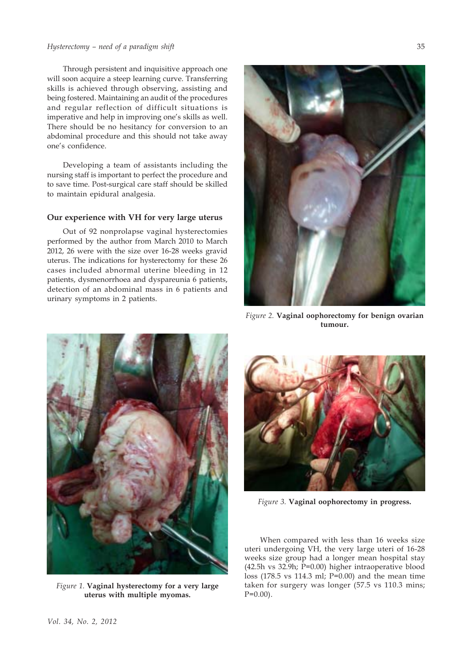## *Hysterectomy – need of a paradigm shift*

Through persistent and inquisitive approach one will soon acquire a steep learning curve. Transferring skills is achieved through observing, assisting and being fostered. Maintaining an audit of the procedures and regular reflection of difficult situations is imperative and help in improving one's skills as well. There should be no hesitancy for conversion to an abdominal procedure and this should not take away one's confidence.

Developing a team of assistants including the nursing staff is important to perfect the procedure and to save time. Post-surgical care staff should be skilled to maintain epidural analgesia.

#### **Our experience with VH for very large uterus**

Out of 92 nonprolapse vaginal hysterectomies performed by the author from March 2010 to March 2012, 26 were with the size over 16-28 weeks gravid uterus. The indications for hysterectomy for these 26 cases included abnormal uterine bleeding in 12 patients, dysmenorrhoea and dyspareunia 6 patients, detection of an abdominal mass in 6 patients and urinary symptoms in 2 patients.



*Figure 2.* **Vaginal oophorectomy for benign ovarian tumour.**



*Figure 1.* **Vaginal hysterectomy for a very large uterus with multiple myomas.**



*Figure 3.* **Vaginal oophorectomy in progress.**

When compared with less than 16 weeks size uteri undergoing VH, the very large uteri of 16-28 weeks size group had a longer mean hospital stay (42.5h vs 32.9h; P=0.00) higher intraoperative blood loss (178.5 vs 114.3 ml; P=0.00) and the mean time taken for surgery was longer (57.5 vs 110.3 mins;  $P=0.00$ ).